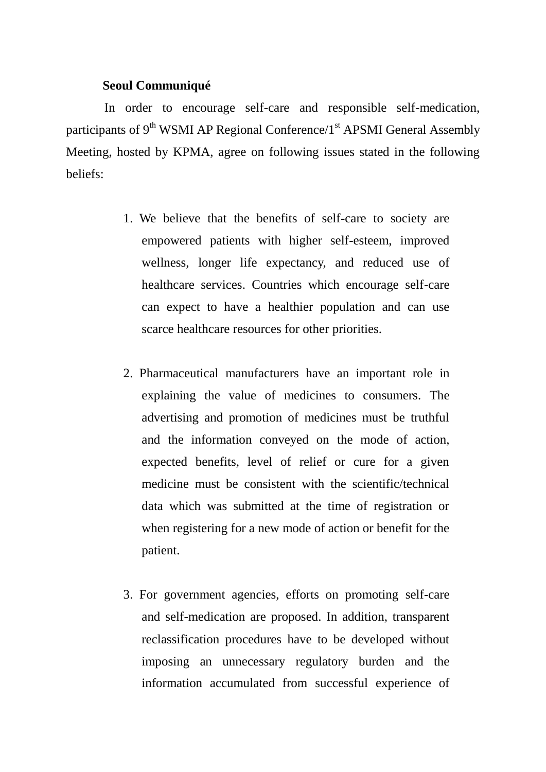## **Seoul Communiqué**

 In order to encourage self-care and responsible self-medication, participants of  $9<sup>th</sup>$  WSMI AP Regional Conference/1<sup>st</sup> APSMI General Assembly Meeting, hosted by KPMA, agree on following issues stated in the following beliefs:

- 1. We believe that the benefits of self-care to society are empowered patients with higher self-esteem, improved wellness, longer life expectancy, and reduced use of healthcare services. Countries which encourage self-care can expect to have a healthier population and can use scarce healthcare resources for other priorities.
- 2. Pharmaceutical manufacturers have an important role in explaining the value of medicines to consumers. The advertising and promotion of medicines must be truthful and the information conveyed on the mode of action, expected benefits, level of relief or cure for a given medicine must be consistent with the scientific/technical data which was submitted at the time of registration or when registering for a new mode of action or benefit for the patient.
- 3. For government agencies, efforts on promoting self-care and self-medication are proposed. In addition, transparent reclassification procedures have to be developed without imposing an unnecessary regulatory burden and the information accumulated from successful experience of